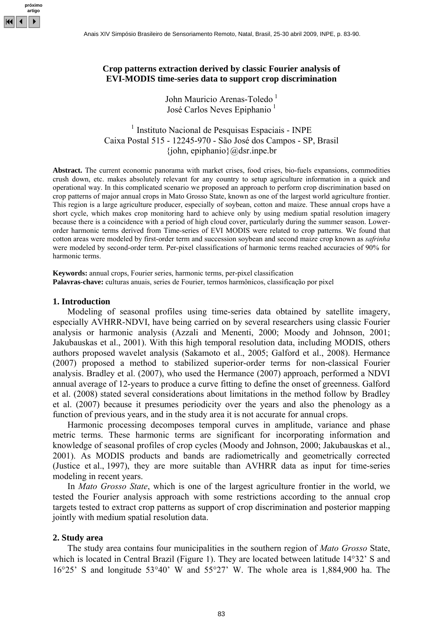

### **Crop patterns extraction derived by classic Fourier analysis of EVI-MODIS time-series data to support crop discrimination**

John Mauricio Arenas-Toledo<sup> $1$ </sup> José Carlos Neves Epiphanio<sup>1</sup>

<sup>1</sup> Instituto Nacional de Pesquisas Espaciais - INPE Caixa Postal 515 - 12245-970 - São José dos Campos - SP, Brasil  $\{\text{iohn}, \text{epiphanio}\}\$ @dsr.inpe.br

**Abstract.** The current economic panorama with market crises, food crises, bio-fuels expansions, commodities crush down, etc. makes absolutely relevant for any country to setup agriculture information in a quick and operational way. In this complicated scenario we proposed an approach to perform crop discrimination based on crop patterns of major annual crops in Mato Grosso State, known as one of the largest world agriculture frontier. This region is a large agriculture producer, especially of soybean, cotton and maize. These annual crops have a short cycle, which makes crop monitoring hard to achieve only by using medium spatial resolution imagery because there is a coincidence with a period of high cloud cover, particularly during the summer season. Lowerorder harmonic terms derived from Time-series of EVI MODIS were related to crop patterns. We found that cotton areas were modeled by first-order term and succession soybean and second maize crop known as *safrinha* were modeled by second-order term. Per-pixel classifications of harmonic terms reached accuracies of 90% for harmonic terms.

**Keywords:** annual crops, Fourier series, harmonic terms, per-pixel classification **Palavras-chave:** culturas anuais, series de Fourier, termos harmônicos, classificação por pixel

### **1. Introduction**

Modeling of seasonal profiles using time-series data obtained by satellite imagery, especially AVHRR-NDVI, have being carried on by several researchers using classic Fourier analysis or harmonic analysis (Azzali and Menenti, 2000; Moody and Johnson, 2001; Jakubauskas et al., 2001). With this high temporal resolution data, including MODIS, others authors proposed wavelet analysis (Sakamoto et al., 2005; Galford et al., 2008). Hermance (2007) proposed a method to stabilized superior-order terms for non-classical Fourier analysis. Bradley et al. (2007), who used the Hermance (2007) approach, performed a NDVI annual average of 12-years to produce a curve fitting to define the onset of greenness. Galford et al. (2008) stated several considerations about limitations in the method follow by Bradley et al. (2007) because it presumes periodicity over the years and also the phenology as a function of previous years, and in the study area it is not accurate for annual crops.

Harmonic processing decomposes temporal curves in amplitude, variance and phase metric terms. These harmonic terms are significant for incorporating information and knowledge of seasonal profiles of crop cycles (Moody and Johnson, 2000; Jakubauskas et al., 2001). As MODIS products and bands are radiometrically and geometrically corrected (Justice et al., 1997), they are more suitable than AVHRR data as input for time-series modeling in recent years.

In *Mato Grosso State*, which is one of the largest agriculture frontier in the world, we tested the Fourier analysis approach with some restrictions according to the annual crop targets tested to extract crop patterns as support of crop discrimination and posterior mapping jointly with medium spatial resolution data.

#### **2. Study area**

The study area contains four municipalities in the southern region of *Mato Grosso* State, which is located in Central Brazil (Figure 1). They are located between latitude 14°32' S and 16°25' S and longitude 53°40' W and 55°27' W. The whole area is 1,884,900 ha. The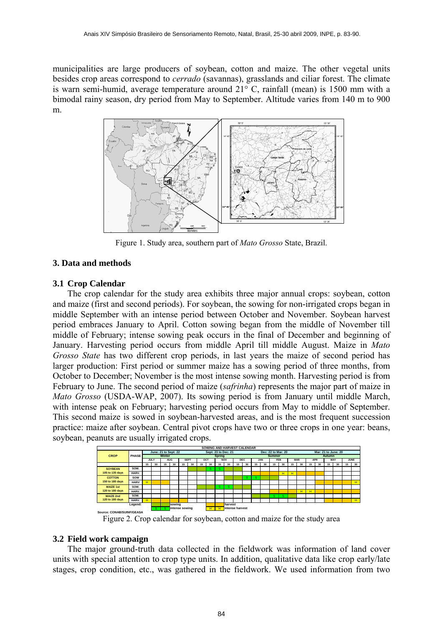municipalities are large producers of soybean, cotton and maize. The other vegetal units besides crop areas correspond to *cerrado* (savannas), grasslands and ciliar forest. The climate is warn semi-humid, average temperature around 21° C, rainfall (mean) is 1500 mm with a bimodal rainy season, dry period from May to September. Altitude varies from 140 m to 900 m.



Figure 1. Study area, southern part of *Mato Grosso* State, Brazil.

# **3. Data and methods**

## **3.1 Crop Calendar**

The crop calendar for the study area exhibits three major annual crops: soybean, cotton and maize (first and second periods). For soybean, the sowing for non-irrigated crops began in middle September with an intense period between October and November. Soybean harvest period embraces January to April. Cotton sowing began from the middle of November till middle of February; intense sowing peak occurs in the final of December and beginning of January. Harvesting period occurs from middle April till middle August. Maize in *Mato Grosso State* has two different crop periods, in last years the maize of second period has larger production: First period or summer maize has a sowing period of three months, from October to December; November is the most intense sowing month. Harvesting period is from February to June. The second period of maize (*safrinha*) represents the major part of maize in *Mato Grosso* (USDA-WAP, 2007). Its sowing period is from January until middle March, with intense peak on February; harvesting period occurs from May to middle of September. This second maize is sowed in soybean-harvested areas, and is the most frequent succession practice: maize after soybean. Central pivot crops have two or three crops in one year: beans, soybean, peanuts are usually irrigated crops.



Figure 2. Crop calendar for soybean, cotton and maize for the study area

## **3.2 Field work campaign**

The major ground-truth data collected in the fieldwork was information of land cover units with special attention to crop type units. In addition, qualitative data like crop early/late stages, crop condition, etc., was gathered in the fieldwork. We used information from two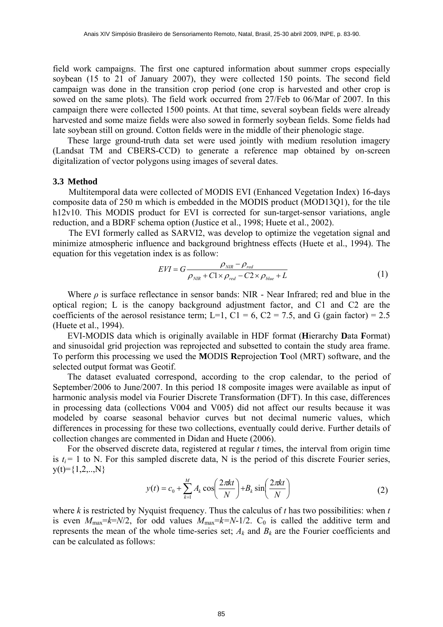field work campaigns. The first one captured information about summer crops especially soybean (15 to 21 of January 2007), they were collected 150 points. The second field campaign was done in the transition crop period (one crop is harvested and other crop is sowed on the same plots). The field work occurred from 27/Feb to 06/Mar of 2007. In this campaign there were collected 1500 points. At that time, several soybean fields were already harvested and some maize fields were also sowed in formerly soybean fields. Some fields had late soybean still on ground. Cotton fields were in the middle of their phenologic stage.

 These large ground-truth data set were used jointly with medium resolution imagery (Landsat TM and CBERS-CCD) to generate a reference map obtained by on-screen digitalization of vector polygons using images of several dates.

#### **3.3 Method**

Multitemporal data were collected of MODIS EVI (Enhanced Vegetation Index) 16-days composite data of 250 m which is embedded in the MODIS product (MOD13Q1), for the tile h12v10. This MODIS product for EVI is corrected for sun-target-sensor variations, angle reduction, and a BDRF schema option (Justice et al., 1998; Huete et al., 2002).

The EVI formerly called as SARVI2, was develop to optimize the vegetation signal and minimize atmospheric influence and background brightness effects (Huete et al., 1994). The equation for this vegetation index is as follow:

$$
EVI = G \frac{\rho_{NIR} - \rho_{red}}{\rho_{NIR} + C1 \times \rho_{red} - C2 \times \rho_{blue} + L}
$$
(1)

Where *ρ* is surface reflectance in sensor bands: NIR - Near Infrared; red and blue in the optical region; L is the canopy background adjustment factor, and C1 and C2 are the coefficients of the aerosol resistance term; L=1, C1 = 6, C2 = 7.5, and G (gain factor) = 2.5 (Huete et al., 1994).

EVI-MODIS data which is originally available in HDF format (**H**ierarchy **D**ata **F**ormat) and sinusoidal grid projection was reprojected and subsetted to contain the study area frame. To perform this processing we used the **M**ODIS **R**eprojection **T**ool (MRT) software, and the selected output format was Geotif.

The dataset evaluated correspond, according to the crop calendar, to the period of September/2006 to June/2007. In this period 18 composite images were available as input of harmonic analysis model via Fourier Discrete Transformation (DFT). In this case, differences in processing data (collections V004 and V005) did not affect our results because it was modeled by coarse seasonal behavior curves but not decimal numeric values, which differences in processing for these two collections, eventually could derive. Further details of collection changes are commented in Didan and Huete (2006).

For the observed discrete data, registered at regular *t* times, the interval from origin time is  $t_i = 1$  to N. For this sampled discrete data, N is the period of this discrete Fourier series,  $y(t)=\{1,2,...,N\}$ 

$$
y(t) = c_0 + \sum_{k=1}^{M} A_k \cos\left(\frac{2\pi kt}{N}\right) + B_k \sin\left(\frac{2\pi kt}{N}\right)
$$
 (2)

where *k* is restricted by Nyquist frequency. Thus the calculus of *t* has two possibilities: when *t* is even  $M_{\text{max}}=k=N/2$ , for odd values  $M_{\text{max}}=k=N-1/2$ . C<sub>0</sub> is called the additive term and represents the mean of the whole time-series set;  $A_k$  and  $B_k$  are the Fourier coefficients and can be calculated as follows: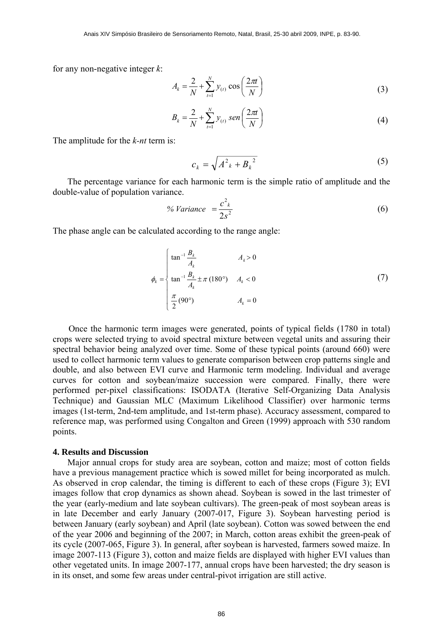for any non-negative integer *k*:

$$
A_{k} = \frac{2}{N} + \sum_{t=1}^{N} y_{(t)} \cos\left(\frac{2\pi t}{N}\right)
$$
 (3)

$$
B_k = \frac{2}{N} + \sum_{t=1}^{N} y_{(t)} \text{ sen}\left(\frac{2\pi t}{N}\right)
$$
 (4)

The amplitude for the *k-nt* term is:

$$
c_k = \sqrt{A^2_k + B_k^2} \tag{5}
$$

The percentage variance for each harmonic term is the simple ratio of amplitude and the double-value of population variance.

$$
\% \text{ Variance } = \frac{c^2}{2s^2} \tag{6}
$$

The phase angle can be calculated according to the range angle:

$$
\phi_k = \begin{cases} \tan^{-1} \frac{B_k}{A_k} & A_k > 0 \\ \tan^{-1} \frac{B_k}{A_k} \pm \pi (180^\circ) & A_k < 0 \\ \frac{\pi}{2} (90^\circ) & A_k = 0 \end{cases}
$$
(7)

 Once the harmonic term images were generated, points of typical fields (1780 in total) crops were selected trying to avoid spectral mixture between vegetal units and assuring their spectral behavior being analyzed over time. Some of these typical points (around 660) were used to collect harmonic term values to generate comparison between crop patterns single and double, and also between EVI curve and Harmonic term modeling. Individual and average curves for cotton and soybean/maize succession were compared. Finally, there were performed per-pixel classifications: ISODATA (Iterative Self-Organizing Data Analysis Technique) and Gaussian MLC (Maximum Likelihood Classifier) over harmonic terms images (1st-term, 2nd-tem amplitude, and 1st-term phase). Accuracy assessment, compared to reference map, was performed using Congalton and Green (1999) approach with 530 random points.

### **4. Results and Discussion**

Major annual crops for study area are soybean, cotton and maize; most of cotton fields have a previous management practice which is sowed millet for being incorporated as mulch. As observed in crop calendar, the timing is different to each of these crops (Figure 3); EVI images follow that crop dynamics as shown ahead. Soybean is sowed in the last trimester of the year (early-medium and late soybean cultivars). The green-peak of most soybean areas is in late December and early January (2007-017, Figure 3). Soybean harvesting period is between January (early soybean) and April (late soybean). Cotton was sowed between the end of the year 2006 and beginning of the 2007; in March, cotton areas exhibit the green-peak of its cycle (2007-065, Figure 3). In general, after soybean is harvested, farmers sowed maize. In image 2007-113 (Figure 3), cotton and maize fields are displayed with higher EVI values than other vegetated units. In image 2007-177, annual crops have been harvested; the dry season is in its onset, and some few areas under central-pivot irrigation are still active.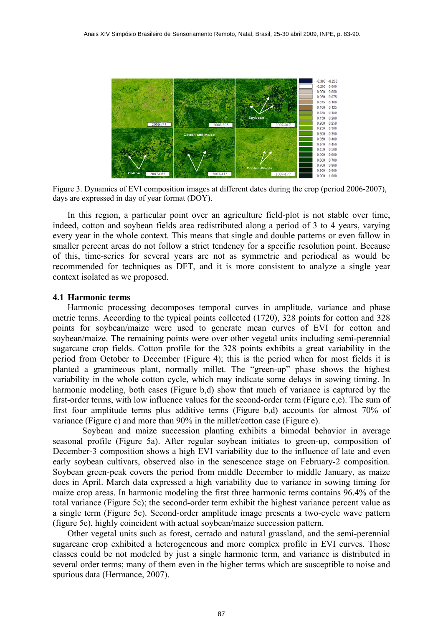

Figure 3. Dynamics of EVI composition images at different dates during the crop (period 2006-2007), days are expressed in day of year format (DOY).

In this region, a particular point over an agriculture field-plot is not stable over time, indeed, cotton and soybean fields area redistributed along a period of 3 to 4 years, varying every year in the whole context. This means that single and double patterns or even fallow in smaller percent areas do not follow a strict tendency for a specific resolution point. Because of this, time-series for several years are not as symmetric and periodical as would be recommended for techniques as DFT, and it is more consistent to analyze a single year context isolated as we proposed.

## **4.1 Harmonic terms**

Harmonic processing decomposes temporal curves in amplitude, variance and phase metric terms. According to the typical points collected (1720), 328 points for cotton and 328 points for soybean/maize were used to generate mean curves of EVI for cotton and soybean/maize. The remaining points were over other vegetal units including semi-perennial sugarcane crop fields. Cotton profile for the 328 points exhibits a great variability in the period from October to December (Figure 4); this is the period when for most fields it is planted a gramineous plant, normally millet. The "green-up" phase shows the highest variability in the whole cotton cycle, which may indicate some delays in sowing timing. In harmonic modeling, both cases (Figure b,d) show that much of variance is captured by the first-order terms, with low influence values for the second-order term (Figure c,e). The sum of first four amplitude terms plus additive terms (Figure b,d) accounts for almost 70% of variance (Figure c) and more than 90% in the millet/cotton case (Figure e).

 Soybean and maize succession planting exhibits a bimodal behavior in average seasonal profile (Figure 5a). After regular soybean initiates to green-up, composition of December-3 composition shows a high EVI variability due to the influence of late and even early soybean cultivars, observed also in the senescence stage on February-2 composition. Soybean green-peak covers the period from middle December to middle January, as maize does in April. March data expressed a high variability due to variance in sowing timing for maize crop areas. In harmonic modeling the first three harmonic terms contains 96.4% of the total variance (Figure 5c); the second-order term exhibit the highest variance percent value as a single term (Figure 5c). Second-order amplitude image presents a two-cycle wave pattern (figure 5e), highly coincident with actual soybean/maize succession pattern.

Other vegetal units such as forest, cerrado and natural grassland, and the semi-perennial sugarcane crop exhibited a heterogeneous and more complex profile in EVI curves. Those classes could be not modeled by just a single harmonic term, and variance is distributed in several order terms; many of them even in the higher terms which are susceptible to noise and spurious data (Hermance, 2007).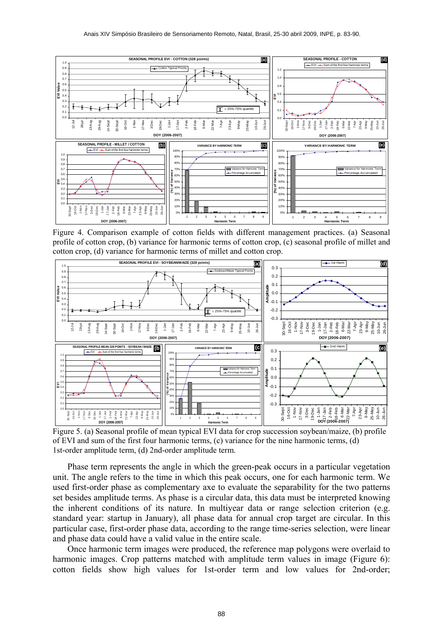

Figure 4. Comparison example of cotton fields with different management practices. (a) Seasonal profile of cotton crop, (b) variance for harmonic terms of cotton crop, (c) seasonal profile of millet and cotton crop, (d) variance for harmonic terms of millet and cotton crop.



Figure 5. (a) Seasonal profile of mean typical EVI data for crop succession soybean/maize, (b) profile of EVI and sum of the first four harmonic terms, (c) variance for the nine harmonic terms, (d) 1st-order amplitude term, (d) 2nd-order amplitude term.

Phase term represents the angle in which the green-peak occurs in a particular vegetation unit. The angle refers to the time in which this peak occurs, one for each harmonic term. We used first-order phase as complementary axe to evaluate the separability for the two patterns set besides amplitude terms. As phase is a circular data, this data must be interpreted knowing the inherent conditions of its nature. In multiyear data or range selection criterion (e.g. standard year: startup in January), all phase data for annual crop target are circular. In this particular case, first-order phase data, according to the range time-series selection, were linear and phase data could have a valid value in the entire scale.

Once harmonic term images were produced, the reference map polygons were overlaid to harmonic images. Crop patterns matched with amplitude term values in image (Figure 6): cotton fields show high values for 1st-order term and low values for 2nd-order;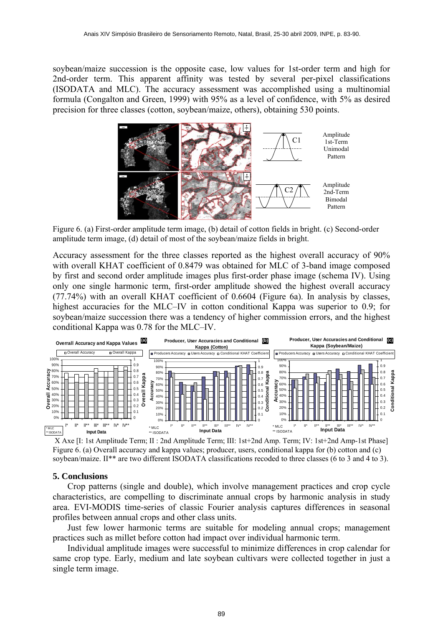soybean/maize succession is the opposite case, low values for 1st-order term and high for 2nd-order term. This apparent affinity was tested by several per-pixel classifications (ISODATA and MLC). The accuracy assessment was accomplished using a multinomial formula (Congalton and Green, 1999) with 95% as a level of confidence, with 5% as desired precision for three classes (cotton, soybean/maize, others), obtaining 530 points.



Figure 6. (a) First-order amplitude term image, (b) detail of cotton fields in bright. (c) Second-order amplitude term image, (d) detail of most of the soybean/maize fields in bright.

Accuracy assessment for the three classes reported as the highest overall accuracy of 90% with overall KHAT coefficient of 0.8479 was obtained for MLC of 3-band image composed by first and second order amplitude images plus first-order phase image (schema IV). Using only one single harmonic term, first-order amplitude showed the highest overall accuracy (77.74%) with an overall KHAT coefficient of 0.6604 (Figure 6a). In analysis by classes, highest accuracies for the MLC–IV in cotton conditional Kappa was superior to 0.9; for soybean/maize succession there was a tendency of higher commission errors, and the highest conditional Kappa was 0.78 for the MLC–IV.



X Axe [I: 1st Amplitude Term; II : 2nd Amplitude Term; III: 1st+2nd Amp. Term; IV: 1st+2nd Amp-1st Phase] Figure 6. (a) Overall accuracy and kappa values; producer, users, conditional kappa for (b) cotton and (c) soybean/maize. II<sup>\*\*</sup> are two different ISODATA classifications recoded to three classes (6 to 3 and 4 to 3).

### **5. Conclusions**

Crop patterns (single and double), which involve management practices and crop cycle characteristics, are compelling to discriminate annual crops by harmonic analysis in study area. EVI-MODIS time-series of classic Fourier analysis captures differences in seasonal profiles between annual crops and other class units.

Just few lower harmonic terms are suitable for modeling annual crops; management practices such as millet before cotton had impact over individual harmonic term.

Individual amplitude images were successful to minimize differences in crop calendar for same crop type. Early, medium and late soybean cultivars were collected together in just a single term image.